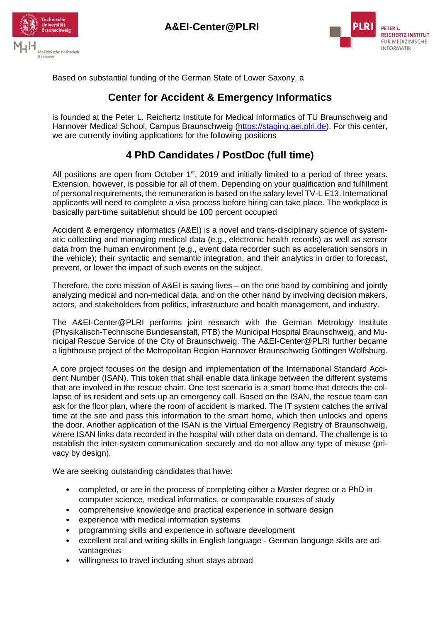





Based on substantial funding of the German State of Lower Saxony, a

## **Center for Accident & Emergency Informatics**

is founded at the Peter L. Reichertz Institute for Medical Informatics of TU Braunschweig and Hannover Medical School, Campus Braunschweig [\(https://staging.aei.plri.de\)](https://staging.aei.plri.de/). For this center, we are currently inviting applications for the following positions

## **4 PhD Candidates / PostDoc (full time)**

All positions are open from October  $1<sup>st</sup>$ , 2019 and initially limited to a period of three years. Extension, however, is possible for all of them. Depending on your qualification and fulfillment of personal requirements, the remuneration is based on the salary level TV-L E13. International applicants will need to complete a visa process before hiring can take place. The workplace is basically part-time suitablebut should be 100 percent occupied

Accident & emergency informatics (A&EI) is a novel and trans-disciplinary science of systematic collecting and managing medical data (e.g., electronic health records) as well as sensor data from the human environment (e.g., event data recorder such as acceleration sensors in the vehicle); their syntactic and semantic integration, and their analytics in order to forecast, prevent, or lower the impact of such events on the subject.

Therefore, the core mission of A&EI is saving lives – on the one hand by combining and jointly analyzing medical and non-medical data, and on the other hand by involving decision makers, actors, and stakeholders from politics, infrastructure and health management, and industry.

The A&EI-Center@PLRI performs joint research with the German Metrology Institute (Physikalisch-Technische Bundesanstalt, PTB) the Municipal Hospital Braunschweig, and Municipal Rescue Service of the City of Braunschweig. The A&EI-Center@PLRI further became a lighthouse project of the Metropolitan Region Hannover Braunschweig Göttingen Wolfsburg.

A core project focuses on the design and implementation of the International Standard Accident Number (ISAN). This token that shall enable data linkage between the different systems that are involved in the rescue chain. One test scenario is a smart home that detects the collapse of its resident and sets up an emergency call. Based on the ISAN, the rescue team can ask for the floor plan, where the room of accident is marked. The IT system catches the arrival time at the site and pass this information to the smart home, which then unlocks and opens the door. Another application of the ISAN is the Virtual Emergency Registry of Braunschweig, where ISAN links data recorded in the hospital with other data on demand. The challenge is to establish the inter-system communication securely and do not allow any type of misuse (privacy by design).

We are seeking outstanding candidates that have:

- completed, or are in the process of completing either a Master degree or a PhD in computer science, medical informatics, or comparable courses of study
- comprehensive knowledge and practical experience in software design
- experience with medical information systems
- programming skills and experience in software development
- excellent oral and writing skills in English language German language skills are advantageous
- willingness to travel including short stays abroad